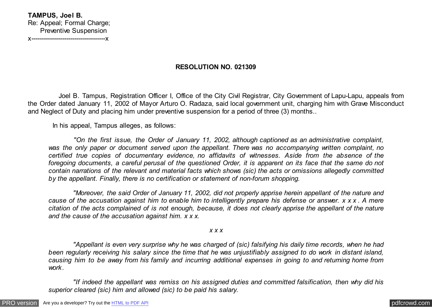## **RESOLUTION NO. 021309**

 Joel B. Tampus, Registration Officer I, Office of the City Civil Registrar, City Government of Lapu-Lapu, appeals from the Order dated January 11, 2002 of Mayor Arturo O. Radaza, said local government unit, charging him with Grave Misconduct and Neglect of Duty and placing him under preventive suspension for a period of three (3) months..

In his appeal, Tampus alleges, as follows:

 *"On the first issue, the Order of January 11, 2002, although captioned as an administrative complaint, was the only paper or document served upon the appellant. There was no accompanying written complaint, no certified true copies of documentary evidence, no affidavits of witnesses. Aside from the absence of the foregoing documents, a careful perusal of the questioned Order, it is apparent on its face that the same do not contain narrations of the relevant and material facts which shows (sic) the acts or omissions allegedly committed by the appellant. Finally, there is no certification or statement of non-forum shopping.*

 *"Moreover, the said Order of January 11, 2002, did not properly apprise herein appellant of the nature and cause of the accusation against him to enable him to intelligently prepare his defense or answer. x x x . A mere citation of the acts complained of is not enough, because, it does not clearly apprise the appellant of the nature and the cause of the accusation against him. x x x.*

*x x x*

 *"Appellant is even very surprise why he was charged of (sic) falsifying his daily time records, when he had been regularly receiving his salary since the time that he was unjustifiably assigned to do work in distant island, causing him to be away from his family and incurring additional expenses in going to and returning home from work.*

 *"If indeed the appellant was remiss on his assigned duties and committed falsification, then why did his superior cleared (sic) him and allowed (sic) to be paid his salary.*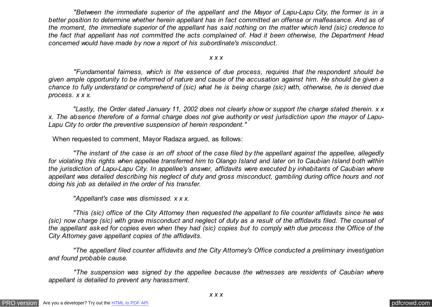*"Between the immediate superior of the appellant and the Mayor of Lapu-Lapu City, the former is in a better position to determine whether herein appellant has in fact committed an offense or malfeasance. And as of the moment, the immediate superior of the appellant has said nothing on the matter which lend (sic) credence to the fact that appellant has not committed the acts complained of. Had it been otherwise, the Department Head concerned would have made by now a report of his subordinate's misconduct.*

#### *x x x*

 *"Fundamental fairness, which is the essence of due process, requires that the respondent should be given ample opportunity to be informed of nature and cause of the accusation against him. He should be given a chance to fully understand or comprehend of (sic) what he is being charge (sic) with, otherwise, he is denied due process. x x x.*

 *"Lastly, the Order dated January 11, 2002 does not clearly show or support the charge stated therein. x x x. The absence therefore of a formal charge does not give authority or vest jurisdiction upon the mayor of Lapu-Lapu City to order the preventive suspension of herein respondent."*

When requested to comment, Mayor Radaza argued, as follows:

 *"The instant of the case is an off shoot of the case filed by the appellant against the appellee, allegedly for violating this rights when appellee transferred him to Olango Island and later on to Caubian Island both within the jurisdiction of Lapu-Lapu City. In appellee's answer, affidavits were executed by inhabitants of Caubian where appellant was detailed describing his neglect of duty and gross misconduct, gambling during office hours and not doing his job as detailed in the order of his transfer.*

 *"Appellant's case was dismissed. x x x.*

 *"This (sic) office of the City Attorney then requested the appellant to file counter affidavits since he was (sic) now charge (sic) with grave misconduct and neglect of duty as a result of the affidavits filed. The counsel of the appellant asked for copies even when they had (sic) copies but to comply with due process the Office of the City Attorney gave appellant copies of the affidavits.*

 *"The appellant filed counter affidavits and the City Attorney's Office conducted a preliminary investigation and found probable cause.*

 *"The suspension was signed by the appellee because the witnesses are residents of Caubian where appellant is detailed to prevent any harassment.*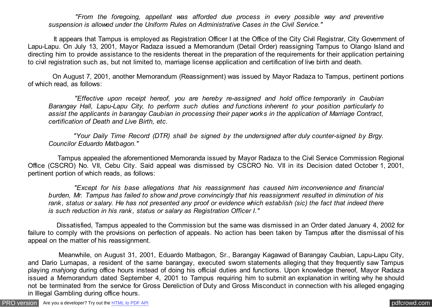*"From the foregoing, appellant was afforded due process in every possible way and preventive suspension is allowed under the Uniform Rules on Administrative Cases in the Civil Service."*

 It appears that Tampus is employed as Registration Officer I at the Office of the City Civil Registrar, City Government of Lapu-Lapu. On July 13, 2001, Mayor Radaza issued a Memorandum (Detail Order) reassigning Tampus to Olango Island and directing him to provide assistance to the residents thereat in the preparation of the requirements for their application pertaining to civil registration such as, but not limited to, marriage license application and certification of live birth and death.

 On August 7, 2001, another Memorandum (Reassignment) was issued by Mayor Radaza to Tampus, pertinent portions of which read, as follows:

 *"Effective upon receipt hereof, you are hereby re-assigned and hold office temporarily in Caubian Barangay Hall, Lapu-Lapu City, to perform such duties and functions inherent to your position particularly to assist the applicants in barangay Caubian in processing their paper works in the application of Marriage Contract, certification of Death and Live Birth, etc.*

 *"Your Daily Time Record (DTR) shall be signed by the undersigned after duly counter-signed by Brgy. Councilor Eduardo Matbagon."*

 Tampus appealed the aforementioned Memoranda issued by Mayor Radaza to the Civil Service Commission Regional Office (CSCRO) No. VII, Cebu City. Said appeal was dismissed by CSCRO No. VII in its Decision dated October 1, 2001, pertinent portion of which reads, as follows:

 *"Except for his base allegations that his reassignment has caused him inconvenience and financial burden, Mr. Tampus has failed to show and prove convincingly that his reassignment resulted in diminution of his rank, status or salary. He has not presented any proof or evidence which establish (sic) the fact that indeed there is such reduction in his rank, status or salary as Registration Officer I."*

 Dissatisfied, Tampus appealed to the Commission but the same was dismissed in an Order dated January 4, 2002 for failure to comply with the provisions on perfection of appeals. No action has been taken by Tampus after the dismissal of his appeal on the matter of his reassignment.

 Meanwhile, on August 31, 2001, Eduardo Matbagon, Sr., Barangay Kagawad of Barangay Caubian, Lapu-Lapu City, and Dario Lumapas, a resident of the same barangay, executed sworn statements alleging that they frequently saw Tampus playing *mahjong* during office hours instead of doing his official duties and functions. Upon knowledge thereof, Mayor Radaza issued a Memorandum dated September 4, 2001 to Tampus requiring him to submit an explanation in writing why he should not be terminated from the service for Gross Dereliction of Duty and Gross Misconduct in connection with his alleged engaging in Illegal Gambling during office hours.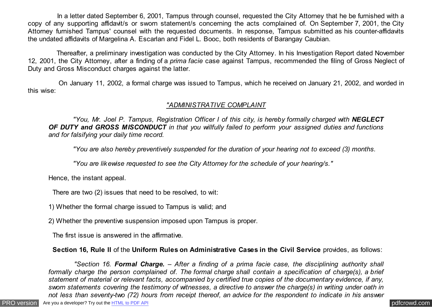In a letter dated September 6, 2001, Tampus through counsel, requested the City Attorney that he be furnished with a copy of any supporting affidavit/s or sworn statement/s concerning the acts complained of. On September 7, 2001, the City Attorney furnished Tampus' counsel with the requested documents. In response, Tampus submitted as his counter-affidavits the undated affidavits of Margelina A. Escarlan and Fidel L. Booc, both residents of Barangay Caubian.

 Thereafter, a preliminary investigation was conducted by the City Attorney. In his Investigation Report dated November 12, 2001, the City Attorney, after a finding of a *prima facie* case against Tampus, recommended the filing of Gross Neglect of Duty and Gross Misconduct charges against the latter.

 On January 11, 2002, a formal charge was issued to Tampus, which he received on January 21, 2002, and worded in this wise:

## *"ADMINISTRATIVE COMPLAINT*

*"You, Mr. Joel P. Tampus, Registration Officer I of this city, is hereby formally charged with NEGLECT OF DUTY and GROSS MISCONDUCT in that you willfully failed to perform your assigned duties and functions and for falsifying your daily time record.*

 *"You are also hereby preventively suspended for the duration of your hearing not to exceed (3) months.*

 *"You are likewise requested to see the City Attorney for the schedule of your hearing/s."*

Hence, the instant appeal.

There are two (2) issues that need to be resolved, to wit:

1) Whether the formal charge issued to Tampus is valid; and

2) Whether the preventive suspension imposed upon Tampus is proper.

The first issue is answered in the affirmative.

# **Section 16, Rule II** of the **Uniform Rules on Administrative Cases in the Civil Service** provides, as follows:

 *"Section 16. Formal Charge. – After a finding of a prima facie case, the disciplining authority shall formally charge the person complained of. The formal charge shall contain a specification of charge(s), a brief statement of material or relevant facts, accompanied by certified true copies of the documentary evidence, if any, sworn statements covering the testimony of witnesses, a directive to answer the charge(s) in writing under oath in not less than seventy-two (72) hours from receipt thereof, an advice for the respondent to indicate in his answer*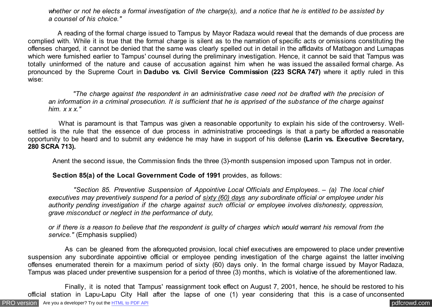*whether or not he elects a formal investigation of the charge(s), and a notice that he is entitled to be assisted by a counsel of his choice."*

 A reading of the formal charge issued to Tampus by Mayor Radaza would reveal that the demands of due process are complied with. While it is true that the formal charge is silent as to the narration of specific acts or omissions constituting the offenses charged, it cannot be denied that the same was clearly spelled out in detail in the affidavits of Matbagon and Lumapas which were furnished earlier to Tampus' counsel during the preliminary investigation. Hence, it cannot be said that Tampus was totally uninformed of the nature and cause of accusation against him when he was issued the assailed formal charge. As pronounced by the Supreme Court in **Dadubo vs. Civil Service Commission (223 SCRA 747)** where it aptly ruled in this wise:

 *"The charge against the respondent in an administrative case need not be drafted with the precision of an information in a criminal prosecution. It is sufficient that he is apprised of the substance of the charge against him. x x x."*

 What is paramount is that Tampus was given a reasonable opportunity to explain his side of the controversy. Wellsettled is the rule that the essence of due process in administrative proceedings is that a party be afforded a reasonable opportunity to be heard and to submit any evidence he may have in support of his defense **(Larin vs. Executive Secretary, 280 SCRA 713).**

Anent the second issue, the Commission finds the three (3)-month suspension imposed upon Tampus not in order.

 **Section 85(a) of the Local Government Code of 1991** provides, as follows:

 *"Section 85. Preventive Suspension of Appointive Local Officials and Employees. – (a) The local chief executives may preventively suspend for a period of sixty (60) days any subordinate official or employee under his authority pending investigation if the charge against such official or employee involves dishonesty, oppression, grave misconduct or neglect in the performance of duty,*

*or if there is a reason to believe that the respondent is guilty of charges which would warrant his removal from the service."* (Emphasis supplied)

 As can be gleaned from the aforequoted provision, local chief executives are empowered to place under preventive suspension any subordinate appointive official or employee pending investigation of the charge against the latter involving offenses enumerated therein for a maximum period of sixty (60) days only. In the formal charge issued by Mayor Radaza, Tampus was placed under preventive suspension for a period of three (3) months, which is violative of the aforementioned law.

 Finally, it is noted that Tampus' reassignment took effect on August 7, 2001, hence, he should be restored to his official station in Lapu-Lapu City Hall after the lapse of one (1) year considering that this is a case of unconsented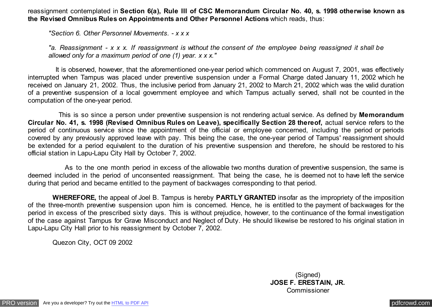reassignment contemplated in **Section 6(a), Rule III of CSC Memorandum Circular No. 40, s. 1998 otherwise known as the Revised Omnibus Rules on Appointments and Other Personnel Actions** which reads, thus:

*"Section 6. Other Personnel Movements. - x x x*

*"a. Reassignment - x x x. If reassignment is without the consent of the employee being reassigned it shall be allowed only for a maximum period of one (1) year. x x x."*

 It is observed, however, that the aforementioned one-year period which commenced on August 7, 2001, was effectively interrupted when Tampus was placed under preventive suspension under a Formal Charge dated January 11, 2002 which he received on January 21, 2002. Thus, the inclusive period from January 21, 2002 to March 21, 2002 which was the valid duration of a preventive suspension of a local government employee and which Tampus actually served, shall not be counted in the computation of the one-year period.

 This is so since a person under preventive suspension is not rendering actual service. As defined by **Memorandum Circular No. 41, s. 1998 (Revised Omnibus Rules on Leave), specifically Section 28 thereof,** actual service refers to the period of continuous service since the appointment of the official or employee concerned, including the period or periods covered by any previously approved leave with pay. This being the case, the one-year period of Tampus' reassignment should be extended for a period equivalent to the duration of his preventive suspension and therefore, he should be restored to his official station in Lapu-Lapu City Hall by October 7, 2002.

 As to the one month period in excess of the allowable two months duration of preventive suspension, the same is deemed included in the period of unconsented reassignment. That being the case, he is deemed not to have left the service during that period and became entitled to the payment of backwages corresponding to that period.

 **WHEREFORE,** the appeal of Joel B. Tampus is hereby **PARTLY GRANTED** insofar as the impropriety of the imposition of the three-month preventive suspension upon him is concerned. Hence, he is entitled to the payment of backwages for the period in excess of the prescribed sixty days. This is without prejudice, however, to the continuance of the formal investigation of the case against Tampus for Grave Misconduct and Neglect of Duty. He should likewise be restored to his original station in Lapu-Lapu City Hall prior to his reassignment by October 7, 2002.

Quezon City, OCT 09 2002

(Signed) **JOSE F. ERESTAIN, JR.** Commissioner